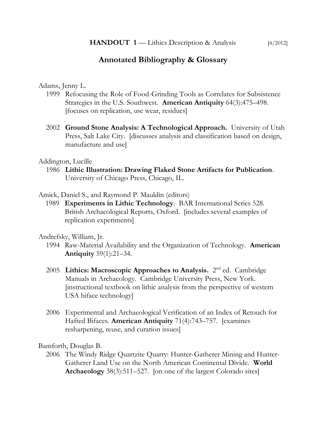# **Annotated Bibliography & Glossary**

Adams, Jenny L.

- 1999 Refocusing the Role of Food-Grinding Tools as Correlates for Subsistence Strategies in the U.S. Southwest. **American Antiquity** 64(3):475–498. [focuses on replication, use wear, residues]
- 2002 **Ground Stone Analysis: A Technological Approach.** University of Utah Press, Salt Lake City. [discusses analysis and classification based on design, manufacture and use]

Addington, Lucille

1986 **Lithic Illustration: Drawing Flaked Stone Artifacts for Publication**. University of Chicago Press, Chicago, IL.

Amick, Daniel S., and Raymond P. Mauldin (editors)

1989 **Experiments in Lithic Technology**. BAR International Series 528. British Archaeological Reports, Oxford. [includes several examples of replication experiments]

Andrefsky, William, Jr.

- 1994 Raw-Material Availability and the Organization of Technology. **American Antiquity** 59(1):21–34.
- 2005 Lithics: Macroscopic Approaches to Analysis. 2<sup>nd</sup> ed. Cambridge Manuals in Archaeology. Cambridge University Press, New York. [instructional textbook on lithic analysis from the perspective of western USA biface technology]
- 2006 Experimental and Archaeological Verification of an Index of Retouch for Hafted Bifaces. **American Antiquity** 71(4):743–757. [examines resharpening, reuse, and curation issues]

Bamforth, Douglas B.

2006 The Windy Ridge Quartzite Quarry: Hunter-Gatherer Mining and Hunter-Gatherer Land Use on the North American Continental Divide. **World Archaeology** 38(3):511–527. [on one of the largest Colorado sites]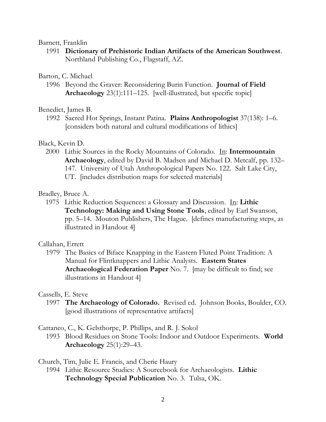### Barnett, Franklin

1991 **Dictionary of Prehistoric Indian Artifacts of the American Southwest**. Northland Publishing Co., Flagstaff, AZ.

### Barton, C. Michael

1996 Beyond the Graver: Reconsidering Burin Function. **Journal of Field Archaeology** 23(1):111–125. [well-illustrated, but specific topic]

### Benedict, James B.

1992 Sacred Hot Springs, Instant Patina. **Plains Anthropologist** 37(138): 1–6. [considers both natural and cultural modifications of lithics]

### Black, Kevin D.

2000 Lithic Sources in the Rocky Mountains of Colorado. In: **Intermountain Archaeology**, edited by David B. Madsen and Michael D. Metcalf, pp. 132– 147. University of Utah Anthropological Papers No. 122. Salt Lake City, UT. [includes distribution maps for selected materials]

#### Bradley, Bruce A.

1975 Lithic Reduction Sequences: a Glossary and Discussion. In: **Lithic Technology: Making and Using Stone Tools**, edited by Earl Swanson, pp. 5–14. Mouton Publishers, The Hague. [defines manufacturing steps, as illustrated in Handout 4]

### Callahan, Errett

1979 The Basics of Biface Knapping in the Eastern Fluted Point Tradition: A Manual for Flintknappers and Lithic Analysts. **Eastern States Archaeological Federation Paper** No. 7. [may be difficult to find; see illustrations in Handout 4]

#### Cassells, E. Steve

1997 **The Archaeology of Colorado.** Revised ed. Johnson Books, Boulder, CO. [good illustrations of representative artifacts]

#### Cattaneo, C., K. Gelsthorpe, P. Phillips, and R. J. Sokol

1993 Blood Residues on Stone Tools: Indoor and Outdoor Experiments. **World Archaeology** 25(1):29–43.

Church, Tim, Julie E. Francis, and Cherie Haury

1994 Lithic Resource Studies: A Sourcebook for Archaeologists. **Lithic Technology Special Publication** No. 3. Tulsa, OK.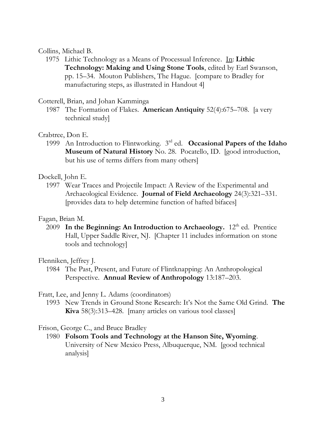### Collins, Michael B.

1975 Lithic Technology as a Means of Processual Inference. In: **Lithic Technology: Making and Using Stone Tools**, edited by Earl Swanson, pp. 15–34. Mouton Publishers, The Hague. [compare to Bradley for manufacturing steps, as illustrated in Handout 4]

# Cotterell, Brian, and Johan Kamminga

1987 The Formation of Flakes. **American Antiquity** 52(4):675–708. [a very technical study]

# Crabtree, Don E.

1999 An Introduction to Flintworking. 3<sup>rd</sup> ed. Occasional Papers of the Idaho **Museum of Natural History** No. 28. Pocatello, ID. [good introduction, but his use of terms differs from many others]

# Dockell, John E.

1997 Wear Traces and Projectile Impact: A Review of the Experimental and Archaeological Evidence. **Journal of Field Archaeology** 24(3):321–331. [provides data to help determine function of hafted bifaces]

# Fagan, Brian M.

2009 In the Beginning: An Introduction to Archaeology. 12<sup>th</sup> ed. Prentice Hall, Upper Saddle River, NJ. [Chapter 11 includes information on stone tools and technology]

# Flenniken, Jeffrey J.

1984 The Past, Present, and Future of Flintknapping: An Anthropological Perspective. **Annual Review of Anthropology** 13:187–203.

# Fratt, Lee, and Jenny L. Adams (coordinators)

1993 New Trends in Ground Stone Research: It's Not the Same Old Grind. **The Kiva** 58(3):313–428. [many articles on various tool classes]

# Frison, George C., and Bruce Bradley

1980 **Folsom Tools and Technology at the Hanson Site, Wyoming**. University of New Mexico Press, Albuquerque, NM. [good technical analysis]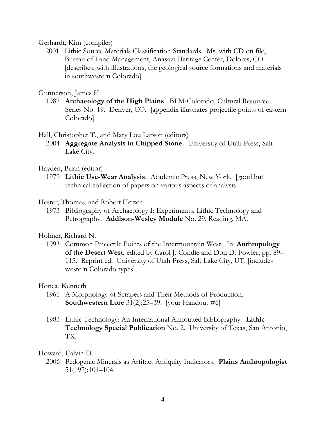### Gerhardt, Kim (compiler)

2001 Lithic Source Materials Classification Standards. Ms. with CD on file, Bureau of Land Management, Anasazi Heritage Center, Dolores, CO. [describes, with illustrations, the geological source formations and materials in southwestern Colorado]

# Gunnerson, James H.

1987 **Archaeology of the High Plains**. BLM-Colorado, Cultural Resource Series No. 19. Denver, CO. [appendix illustrates projectile points of eastern Colorado]

Hall, Christopher T., and Mary Lou Larson (editors)

2004 **Aggregate Analysis in Chipped Stone.** University of Utah Press, Salt Lake City.

# Hayden, Brian (editor)

- 1979 **Lithic Use-Wear Analysis**. Academic Press, New York. [good but technical collection of papers on various aspects of analysis]
- Hester, Thomas, and Robert Heizer
	- 1973 Bibliography of Archaeology I: Experiments, Lithic Technology and Petrography. **Addison-Wesley Module** No. 29, Reading, MA.

# Holmer, Richard N.

1993 Common Projectile Points of the Intermountain West. In: **Anthropology of the Desert West**, edited by Carol J. Condie and Don D. Fowler, pp. 89– 115. Reprint ed. University of Utah Press, Salt Lake City, UT. [includes western Colorado types]

# Honea, Kenneth

- 1965 A Morphology of Scrapers and Their Methods of Production. **Southwestern Lore** 31(2):25–39. [your Handout #6]
- 1983 Lithic Technology: An International Annotated Bibliography. **Lithic Technology Special Publication** No. 2. University of Texas, San Antonio, TX.

### Howard, Calvin D.

2006 Pedogenic Minerals as Artifact Antiquity Indicators. **Plains Anthropologist** 51(197):101–104.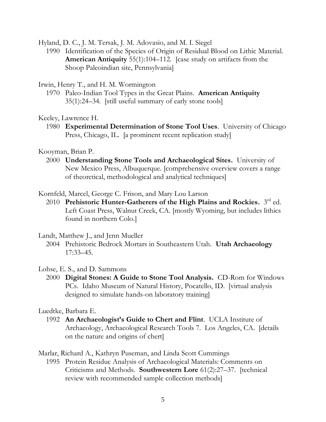Hyland, D. C., J. M. Tersak, J. M. Adovasio, and M. I. Siegel

1990 Identification of the Species of Origin of Residual Blood on Lithic Material. **American Antiquity** 55(1):104–112. [case study on artifacts from the Shoop Paleoindian site, Pennsylvania]

### Irwin, Henry T., and H. M. Wormington

1970 Paleo-Indian Tool Types in the Great Plains. **American Antiquity** 35(1):24–34. [still useful summary of early stone tools]

Keeley, Lawrence H.

1980 **Experimental Determination of Stone Tool Uses**. University of Chicago Press, Chicago, IL. [a prominent recent replication study]

Kooyman, Brian P.

2000 **Understanding Stone Tools and Archaeological Sites.** University of New Mexico Press, Albuquerque. [comprehensive overview covers a range of theoretical, methodological and analytical techniques]

Kornfeld, Marcel, George C. Frison, and Mary Lou Larson

2010 Prehistoric Hunter-Gatherers of the High Plains and Rockies. 3<sup>rd</sup> ed. Left Coast Press, Walnut Creek, CA. [mostly Wyoming, but includes lithics found in northern Colo.]

Landt, Matthew J., and Jenn Mueller

2004 Prehistoric Bedrock Mortars in Southeastern Utah. **Utah Archaeology** 17:33–45.

### Lohse, E. S., and D. Sammons

2000 **Digital Stones: A Guide to Stone Tool Analysis.** CD-Rom for Windows PCs.Idaho Museum of Natural History, Pocatello, ID. [virtual analysis designed to simulate hands-on laboratory training]

Luedtke, Barbara E.

1992 **An Archaeologist's Guide to Chert and Flint**. UCLA Institute of Archaeology, Archaeological Research Tools 7. Los Angeles, CA. [details on the nature and origins of chert]

Marlar, Richard A., Kathryn Puseman, and Linda Scott Cummings

1995 Protein Residue Analysis of Archaeological Materials: Comments on Criticisms and Methods. **Southwestern Lore** 61(2):27–37. [technical review with recommended sample collection methods]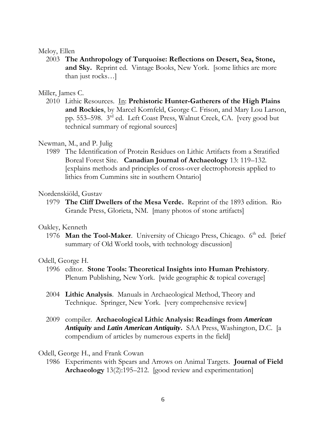### Meloy, Ellen

2003 **The Anthropology of Turquoise: Reflections on Desert, Sea, Stone, and Sky.** Reprint ed. Vintage Books, New York. [some lithics are more than just rocks…]

### Miller, James C.

2010 Lithic Resources. In: **Prehistoric Hunter-Gatherers of the High Plains and Rockies**, by Marcel Kornfeld, George C. Frison, and Mary Lou Larson, pp. 553–598. 3 rd ed. Left Coast Press, Walnut Creek, CA. [very good but technical summary of regional sources]

### Newman, M., and P. Julig

1989 The Identification of Protein Residues on Lithic Artifacts from a Stratified Boreal Forest Site. **Canadian Journal of Archaeology** 13: 119–132. [explains methods and principles of cross-over electrophoresis applied to lithics from Cummins site in southern Ontario]

### Nordenskiöld, Gustav

1979 **The Cliff Dwellers of the Mesa Verde.** Reprint of the 1893 edition. Rio Grande Press, Glorieta, NM. [many photos of stone artifacts]

### Oakley, Kenneth

1976 Man the Tool-Maker. University of Chicago Press, Chicago. 6<sup>th</sup> ed. [brief summary of Old World tools, with technology discussion]

### Odell, George H.

- 1996 editor. **Stone Tools: Theoretical Insights into Human Prehistory**. Plenum Publishing, New York. [wide geographic & topical coverage]
- 2004 **Lithic Analysis**. Manuals in Archaeological Method, Theory and Technique. Springer, New York. [very comprehensive review]
- 2009 compiler. **Archaeological Lithic Analysis: Readings from** *American Antiquity* **and** *Latin American Antiquity***.** SAA Press, Washington, D.C. [a compendium of articles by numerous experts in the field]

### Odell, George H., and Frank Cowan

1986 Experiments with Spears and Arrows on Animal Targets. **Journal of Field Archaeology** 13(2):195–212. [good review and experimentation]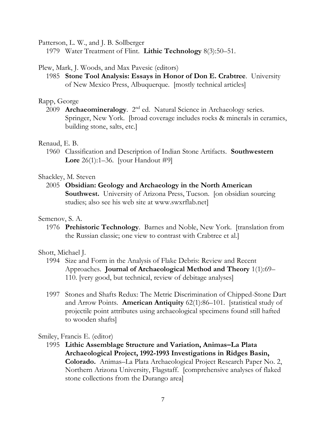Patterson, L. W., and J. B. Sollberger

1979 Water Treatment of Flint. **Lithic Technology** 8(3):50–51.

# Plew, Mark, J. Woods, and Max Pavesic (editors)

1985 **Stone Tool Analysis: Essays in Honor of Don E. Crabtree**. University of New Mexico Press, Albuquerque. [mostly technical articles]

# Rapp, George

2009 **Archaeomineralogy**. 2<sup>nd</sup> ed. Natural Science in Archaeology series. Springer, New York. [broad coverage includes rocks & minerals in ceramics, building stone, salts, etc.]

# Renaud, E. B.

1960 Classification and Description of Indian Stone Artifacts. **Southwestern Lore** 26(1):1–36. [your Handout #9]

# Shackley, M. Steven

2005 **Obsidian: Geology and Archaeology in the North American Southwest.** University of Arizona Press, Tucson. [on obsidian sourcing studies; also see his web site at www.swxrflab.net]

# Semenov, S. A.

1976 **Prehistoric Technology**. Barnes and Noble, New York. [translation from the Russian classic; one view to contrast with Crabtree et al.]

# Shott, Michael J.

- 1994 Size and Form in the Analysis of Flake Debris: Review and Recent Approaches. **Journal of Archaeological Method and Theory** 1(1):69– 110. [very good, but technical, review of debitage analyses]
- 1997 Stones and Shafts Redux: The Metric Discrimination of Chipped-Stone Dart and Arrow Points. **American Antiquity** 62(1):86–101. [statistical study of projectile point attributes using archaeological specimens found still hafted to wooden shafts]

Smiley, Francis E. (editor)

1995 **Lithic Assemblage Structure and Variation, Animas–La Plata Archaeological Project, 1992-1993 Investigations in Ridges Basin, Colorado.** Animas–La Plata Archaeological Project Research Paper No. 2, Northern Arizona University, Flagstaff. [comprehensive analyses of flaked stone collections from the Durango area]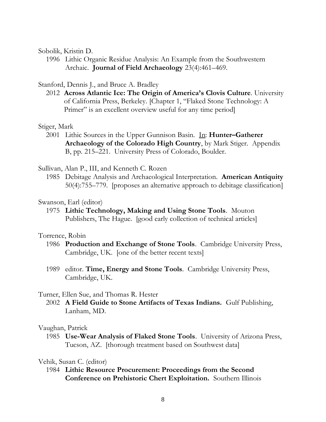#### Sobolik, Kristin D.

1996 Lithic Organic Residue Analysis: An Example from the Southwestern Archaic. **Journal of Field Archaeology** 23(4):461–469.

### Stanford, Dennis J., and Bruce A. Bradley

2012 **Across Atlantic Ice: The Origin of America's Clovis Culture**. University of California Press, Berkeley. [Chapter 1, "Flaked Stone Technology: A Primer" is an excellent overview useful for any time period

#### Stiger, Mark

2001 Lithic Sources in the Upper Gunnison Basin. In: **Hunter–Gatherer Archaeology of the Colorado High Country**, by Mark Stiger. Appendix B, pp. 215–221. University Press of Colorado, Boulder.

#### Sullivan, Alan P., III, and Kenneth C. Rozen

1985 Debitage Analysis and Archaeological Interpretation. **American Antiquity** 50(4):755–779. [proposes an alternative approach to debitage classification]

#### Swanson, Earl (editor)

1975 **Lithic Technology, Making and Using Stone Tools**. Mouton Publishers, The Hague. [good early collection of technical articles]

#### Torrence, Robin

- 1986 **Production and Exchange of Stone Tools**. Cambridge University Press, Cambridge, UK. [one of the better recent texts]
- 1989 editor. **Time, Energy and Stone Tools**. Cambridge University Press, Cambridge, UK.

#### Turner, Ellen Sue, and Thomas R. Hester

2002 **A Field Guide to Stone Artifacts of Texas Indians.** Gulf Publishing, Lanham, MD.

#### Vaughan, Patrick

1985 **Use-Wear Analysis of Flaked Stone Tools**. University of Arizona Press, Tucson, AZ. [thorough treatment based on Southwest data]

#### Vehik, Susan C. (editor)

1984 **Lithic Resource Procurement: Proceedings from the Second Conference on Prehistoric Chert Exploitation.** Southern Illinois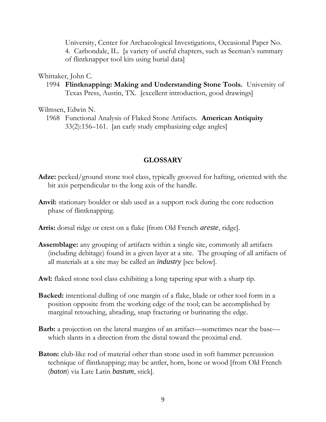University, Center for Archaeological Investigations, Occasional Paper No. 4. Carbondale, IL. [a variety of useful chapters, such as Seeman's summary of flintknapper tool kits using burial data]

#### Whittaker, John C.

1994 **Flintknapping: Making and Understanding Stone Tools.** University of Texas Press, Austin, TX. [excellent introduction, good drawings]

### Wilmsen, Edwin N.

1968 Functional Analysis of Flaked Stone Artifacts. **American Antiquity** 33(2):156–161. [an early study emphasizing edge angles]

#### **GLOSSARY**

- **Adze:** pecked/ground stone tool class, typically grooved for hafting, oriented with the bit axis perpendicular to the long axis of the handle.
- **Anvil:** stationary boulder or slab used as a support rock during the core reduction phase of flintknapping.
- **Arris:** dorsal ridge or crest on a flake [from Old French *areste*, ridge].
- **Assemblage:** any grouping of artifacts within a single site, commonly all artifacts (including debitage) found in a given layer at a site. The grouping of all artifacts of all materials at a site may be called an *industry* [see below].

**Awl:** flaked stone tool class exhibiting a long tapering spur with a sharp tip.

- **Backed:** intentional dulling of one margin of a flake, blade or other tool form in a position opposite from the working edge of the tool; can be accomplished by marginal retouching, abrading, snap fracturing or burinating the edge.
- **Barb:** a projection on the lateral margins of an artifact—sometimes near the base which slants in a direction from the distal toward the proximal end.
- **Baton:** club-like rod of material other than stone used in soft hammer percussion technique of flintknapping; may be antler, horn, bone or wood [from Old French (*baton*) via Late Latin *bastum*, stick].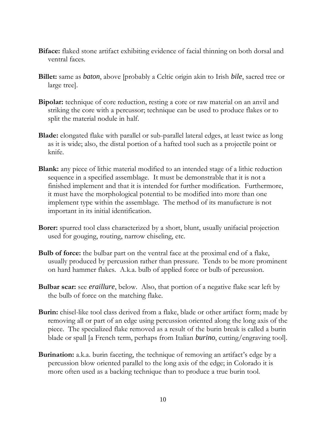- **Biface:** flaked stone artifact exhibiting evidence of facial thinning on both dorsal and ventral faces.
- **Billet:** same as *baton*, above [probably a Celtic origin akin to Irish *bile*, sacred tree or large tree].
- **Bipolar:** technique of core reduction, resting a core or raw material on an anvil and striking the core with a percussor; technique can be used to produce flakes or to split the material nodule in half.
- **Blade:** elongated flake with parallel or sub-parallel lateral edges, at least twice as long as it is wide; also, the distal portion of a hafted tool such as a projectile point or knife.
- **Blank:** any piece of lithic material modified to an intended stage of a lithic reduction sequence in a specified assemblage. It must be demonstrable that it is not a finished implement and that it is intended for further modification. Furthermore, it must have the morphological potential to be modified into more than one implement type within the assemblage. The method of its manufacture is not important in its initial identification.
- **Borer:** spurred tool class characterized by a short, blunt, usually unifacial projection used for gouging, routing, narrow chiseling, etc.
- **Bulb of force:** the bulbar part on the ventral face at the proximal end of a flake, usually produced by percussion rather than pressure. Tends to be more prominent on hard hammer flakes. A.k.a. bulb of applied force or bulb of percussion.
- **Bulbar scar:** see *eraillure*, below. Also, that portion of a negative flake scar left by the bulb of force on the matching flake.
- **Burin:** chisel-like tool class derived from a flake, blade or other artifact form; made by removing all or part of an edge using percussion oriented along the long axis of the piece. The specialized flake removed as a result of the burin break is called a burin blade or spall [a French term, perhaps from Italian *burino*, cutting/engraving tool].
- **Burination:** a.k.a. burin faceting, the technique of removing an artifact's edge by a percussion blow oriented parallel to the long axis of the edge; in Colorado it is more often used as a backing technique than to produce a true burin tool.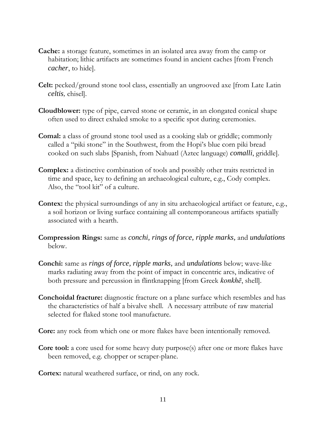- **Cache:** a storage feature, sometimes in an isolated area away from the camp or habitation; lithic artifacts are sometimes found in ancient caches [from French *cacher*, to hide].
- **Celt:** pecked/ground stone tool class, essentially an ungrooved axe [from Late Latin *celtis,* chisel].
- **Cloudblower:** type of pipe, carved stone or ceramic, in an elongated conical shape often used to direct exhaled smoke to a specific spot during ceremonies.
- **Comal:** a class of ground stone tool used as a cooking slab or griddle; commonly called a "piki stone" in the Southwest, from the Hopi's blue corn piki bread cooked on such slabs [Spanish, from Nahuatl (Aztec language) *comalli*, griddle].
- **Complex:** a distinctive combination of tools and possibly other traits restricted in time and space, key to defining an archaeological culture, e.g., Cody complex. Also, the "tool kit" of a culture.
- **Contex:** the physical surroundings of any in situ archaeological artifact or feature, e.g., a soil horizon or living surface containing all contemporaneous artifacts spatially associated with a hearth.
- **Compression Rings:** same as *conchi, rings of force, ripple marks,* and *undulations* below.
- **Conchi:** same as *rings of force, ripple marks,* and *undulations* below; wave-like marks radiating away from the point of impact in concentric arcs, indicative of both pressure and percussion in flintknapping [from Greek *konkhē*, shell].
- **Conchoidal fracture:** diagnostic fracture on a plane surface which resembles and has the characteristics of half a bivalve shell. A necessary attribute of raw material selected for flaked stone tool manufacture.

**Core:** any rock from which one or more flakes have been intentionally removed.

**Core tool:** a core used for some heavy duty purpose(s) after one or more flakes have been removed, e.g. chopper or scraper-plane.

**Cortex:** natural weathered surface, or rind, on any rock.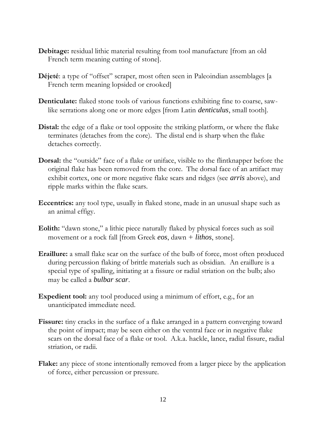- **Debitage:** residual lithic material resulting from tool manufacture [from an old French term meaning cutting of stone].
- **Déjeté**: a type of "offset" scraper, most often seen in Paleoindian assemblages [a French term meaning lopsided or crooked]
- **Denticulate:** flaked stone tools of various functions exhibiting fine to coarse, sawlike serrations along one or more edges [from Latin *denticulus*, small tooth].
- **Distal:** the edge of a flake or tool opposite the striking platform, or where the flake terminates (detaches from the core). The distal end is sharp when the flake detaches correctly.
- **Dorsal:** the "outside" face of a flake or uniface, visible to the flintknapper before the original flake has been removed from the core. The dorsal face of an artifact may exhibit cortex, one or more negative flake scars and ridges (see *arris* above), and ripple marks within the flake scars.
- **Eccentrics:** any tool type, usually in flaked stone, made in an unusual shape such as an animal effigy.
- **Eolith:** "dawn stone," a lithic piece naturally flaked by physical forces such as soil movement or a rock fall [from Greek *eos*, dawn + *lithos*, stone].
- **Eraillure:** a small flake scar on the surface of the bulb of force, most often produced during percussion flaking of brittle materials such as obsidian. An eraillure is a special type of spalling, initiating at a fissure or radial striation on the bulb; also may be called a *bulbar scar*.
- **Expedient tool:** any tool produced using a minimum of effort, e.g., for an unanticipated immediate need.
- Fissure: tiny cracks in the surface of a flake arranged in a pattern converging toward the point of impact; may be seen either on the ventral face or in negative flake scars on the dorsal face of a flake or tool. A.k.a. hackle, lance, radial fissure, radial striation, or radii.
- **Flake:** any piece of stone intentionally removed from a larger piece by the application of force, either percussion or pressure.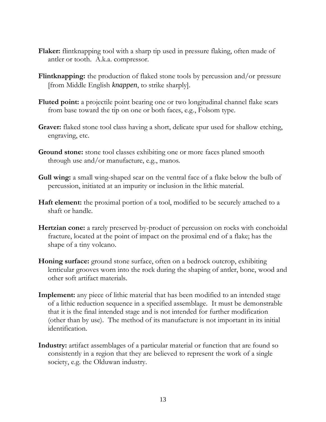- **Flaker:** flintknapping tool with a sharp tip used in pressure flaking, often made of antler or tooth. A.k.a. compressor.
- **Flintknapping:** the production of flaked stone tools by percussion and/or pressure [from Middle English *knappen*, to strike sharply].
- **Fluted point:** a projectile point bearing one or two longitudinal channel flake scars from base toward the tip on one or both faces, e.g., Folsom type.
- **Graver:** flaked stone tool class having a short, delicate spur used for shallow etching, engraving, etc.
- **Ground stone:** stone tool classes exhibiting one or more faces planed smooth through use and/or manufacture, e.g., manos.
- **Gull wing:** a small wing-shaped scar on the ventral face of a flake below the bulb of percussion, initiated at an impurity or inclusion in the lithic material.
- **Haft element:** the proximal portion of a tool, modified to be securely attached to a shaft or handle.
- **Hertzian cone:** a rarely preserved by-product of percussion on rocks with conchoidal fracture, located at the point of impact on the proximal end of a flake; has the shape of a tiny volcano.
- **Honing surface:** ground stone surface, often on a bedrock outcrop, exhibiting lenticular grooves worn into the rock during the shaping of antler, bone, wood and other soft artifact materials.
- **Implement:** any piece of lithic material that has been modified to an intended stage of a lithic reduction sequence in a specified assemblage. It must be demonstrable that it is the final intended stage and is not intended for further modification (other than by use). The method of its manufacture is not important in its initial identification.
- **Industry:** artifact assemblages of a particular material or function that are found so consistently in a region that they are believed to represent the work of a single society, e.g. the Olduwan industry.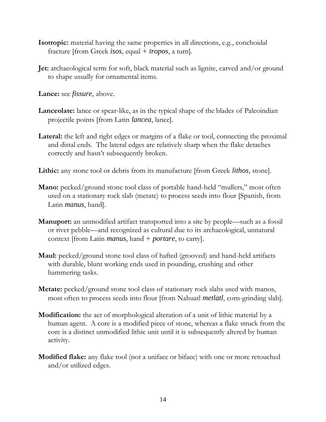- **Isotropic:** material having the same properties in all directions, e.g., conchoidal fracture [from Greek *isos*, equal + *tropos*, a turn].
- **Jet:** archaeological term for soft, black material such as lignite, carved and/or ground to shape usually for ornamental items.

**Lance:** see *fissure,* above.

- **Lanceolate:** lance or spear-like, as in the typical shape of the blades of Paleoindian projectile points [from Latin *lancea*, lance].
- Lateral: the left and right edges or margins of a flake or tool, connecting the proximal and distal ends. The lateral edges are relatively sharp when the flake detaches correctly and hasn't subsequently broken.
- **Lithic:** any stone tool or debris from its manufacture [from Greek *lithos*, stone].
- **Mano:** pecked/ground stone tool class of portable hand-held "mullers," most often used on a stationary rock slab (metate) to process seeds into flour [Spanish, from Latin *manus*, hand].
- **Manuport:** an unmodified artifact transported into a site by people—such as a fossil or river pebble—and recognized as cultural due to its archaeological, unnatural context [from Latin *manus*, hand + *portare*, to carry].
- **Maul:** pecked/ground stone tool class of hafted (grooved) and hand-held artifacts with durable, blunt working ends used in pounding, crushing and other hammering tasks.
- **Metate:** pecked/ground stone tool class of stationary rock slabs used with manos, most often to process seeds into flour [from Nahuatl *metlatl*, corn-grinding slab].
- **Modification:** the act of morphological alteration of a unit of lithic material by a human agent. A core is a modified piece of stone, whereas a flake struck from the core is a distinct unmodified lithic unit until it is subsequently altered by human activity.
- **Modified flake:** any flake tool (not a uniface or biface) with one or more retouched and/or utilized edges.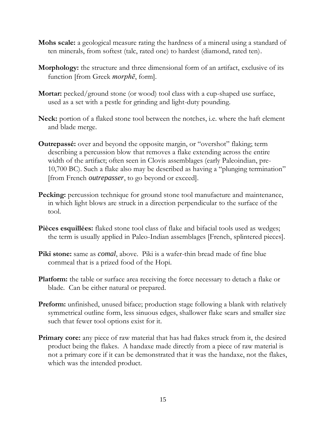- **Mohs scale:** a geological measure rating the hardness of a mineral using a standard of ten minerals, from softest (talc, rated one) to hardest (diamond, rated ten).
- **Morphology:** the structure and three dimensional form of an artifact, exclusive of its function [from Greek *morphē*, form].
- **Mortar:** pecked/ground stone (or wood) tool class with a cup-shaped use surface, used as a set with a pestle for grinding and light-duty pounding.
- **Neck:** portion of a flaked stone tool between the notches, i.e. where the haft element and blade merge.
- **Outrepassé:** over and beyond the opposite margin, or "overshot" flaking; term describing a percussion blow that removes a flake extending across the entire width of the artifact; often seen in Clovis assemblages (early Paleoindian, pre-10,700 BC). Such a flake also may be described as having a "plunging termination" [from French *outrepasser*, to go beyond or exceed].
- **Pecking:** percussion technique for ground stone tool manufacture and maintenance, in which light blows are struck in a direction perpendicular to the surface of the tool.
- **Pièces esquillées:** flaked stone tool class of flake and bifacial tools used as wedges; the term is usually applied in Paleo-Indian assemblages [French, splintered pieces].
- **Piki stone:** same as *comal*, above. Piki is a wafer-thin bread made of fine blue cornmeal that is a prized food of the Hopi.
- **Platform:** the table or surface area receiving the force necessary to detach a flake or blade. Can be either natural or prepared.
- **Preform:** unfinished, unused biface; production stage following a blank with relatively symmetrical outline form, less sinuous edges, shallower flake scars and smaller size such that fewer tool options exist for it.
- **Primary core:** any piece of raw material that has had flakes struck from it, the desired product being the flakes. A handaxe made directly from a piece of raw material is not a primary core if it can be demonstrated that it was the handaxe, not the flakes, which was the intended product.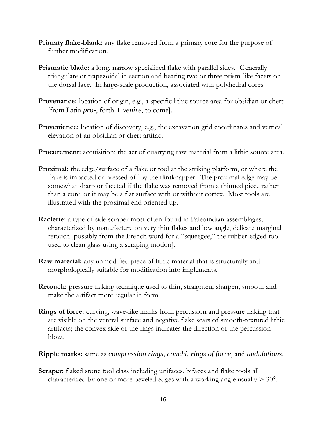- **Primary flake-blank:** any flake removed from a primary core for the purpose of further modification.
- **Prismatic blade:** a long, narrow specialized flake with parallel sides. Generally triangulate or trapezoidal in section and bearing two or three prism-like facets on the dorsal face. In large-scale production, associated with polyhedral cores.
- **Provenance:** location of origin, e.g., a specific lithic source area for obsidian or chert [from Latin *pro-*, forth + *venire*, to come].
- **Provenience:** location of discovery, e.g., the excavation grid coordinates and vertical elevation of an obsidian or chert artifact.
- **Procurement:** acquisition; the act of quarrying raw material from a lithic source area.
- **Proximal:** the edge/surface of a flake or tool at the striking platform, or where the flake is impacted or pressed off by the flintknapper. The proximal edge may be somewhat sharp or faceted if the flake was removed from a thinned piece rather than a core, or it may be a flat surface with or without cortex. Most tools are illustrated with the proximal end oriented up.
- **Raclette:** a type of side scraper most often found in Paleoindian assemblages, characterized by manufacture on very thin flakes and low angle, delicate marginal retouch [possibly from the French word for a "squeegee," the rubber-edged tool used to clean glass using a scraping motion].
- **Raw material:** any unmodified piece of lithic material that is structurally and morphologically suitable for modification into implements.
- **Retouch:** pressure flaking technique used to thin, straighten, sharpen, smooth and make the artifact more regular in form.
- **Rings of force:** curving, wave-like marks from percussion and pressure flaking that are visible on the ventral surface and negative flake scars of smooth-textured lithic artifacts; the convex side of the rings indicates the direction of the percussion blow.

**Ripple marks:** same as *compression rings, conchi, rings of force*, and *undulations*.

**Scraper:** flaked stone tool class including unifaces, bifaces and flake tools all characterized by one or more beveled edges with a working angle usually  $> 30^{\circ}$ .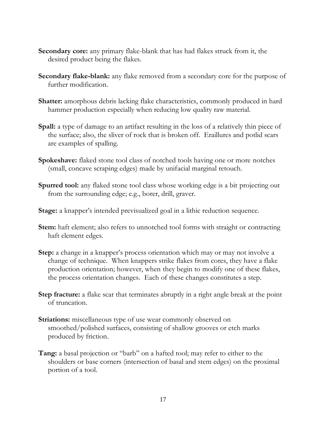- **Secondary core:** any primary flake-blank that has had flakes struck from it, the desired product being the flakes.
- **Secondary flake-blank:** any flake removed from a secondary core for the purpose of further modification.
- **Shatter:** amorphous debris lacking flake characteristics, commonly produced in hard hammer production especially when reducing low quality raw material.
- **Spall:** a type of damage to an artifact resulting in the loss of a relatively thin piece of the surface; also, the sliver of rock that is broken off. Eraillures and potlid scars are examples of spalling.
- **Spokeshave:** flaked stone tool class of notched tools having one or more notches (small, concave scraping edges) made by unifacial marginal retouch.
- **Spurred tool:** any flaked stone tool class whose working edge is a bit projecting out from the surrounding edge; e.g., borer, drill, graver.
- **Stage:** a knapper's intended previsualized goal in a lithic reduction sequence.
- **Stem:** haft element; also refers to unnotched tool forms with straight or contracting haft element edges.
- **Step:** a change in a knapper's process orientation which may or may not involve a change of technique. When knappers strike flakes from cores, they have a flake production orientation; however, when they begin to modify one of these flakes, the process orientation changes. Each of these changes constitutes a step.
- **Step fracture:** a flake scar that terminates abruptly in a right angle break at the point of truncation.
- **Striations:** miscellaneous type of use wear commonly observed on smoothed/polished surfaces, consisting of shallow grooves or etch marks produced by friction.
- **Tang:** a basal projection or "barb" on a hafted tool; may refer to either to the shoulders or base corners (intersection of basal and stem edges) on the proximal portion of a tool.